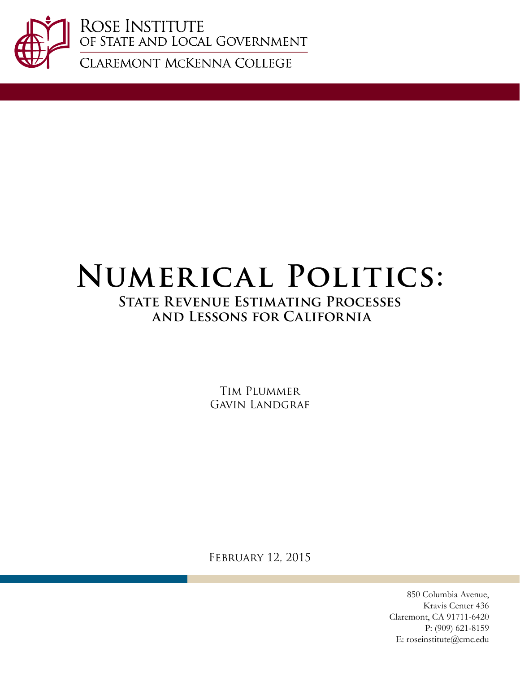

ROSE INSTITUTE<br>OF STATE AND LOCAL GOVERNMENT

CLAREMONT MCKENNA COLLEGE

# **Numerical Politics:**

# **State Revenue Estimating Processes and Lessons for California**

Tim Plummer Gavin Landgraf

February 12, 2015

850 Columbia Avenue, Kravis Center 436 Claremont, CA 91711-6420 P: (909) 621-8159 E: roseinstitute@cmc.edu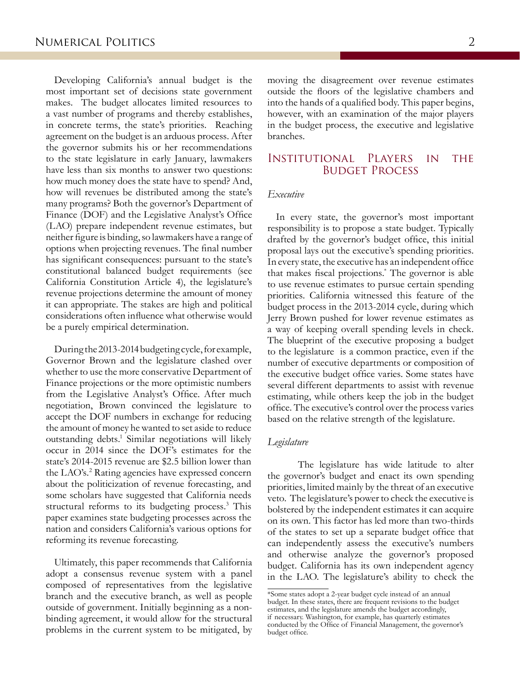Developing California's annual budget is the most important set of decisions state government makes. The budget allocates limited resources to a vast number of programs and thereby establishes, in concrete terms, the state's priorities. Reaching agreement on the budget is an arduous process. After the governor submits his or her recommendations to the state legislature in early January, lawmakers have less than six months to answer two questions: how much money does the state have to spend? And, how will revenues be distributed among the state's many programs? Both the governor's Department of Finance (DOF) and the Legislative Analyst's Office (LAO) prepare independent revenue estimates, but neither figure is binding, so lawmakers have a range of options when projecting revenues. The final number has significant consequences: pursuant to the state's constitutional balanced budget requirements (see California Constitution Article 4), the legislature's revenue projections determine the amount of money it can appropriate. The stakes are high and political considerations often influence what otherwise would be a purely empirical determination.

During the 2013-2014 budgeting cycle, for example, Governor Brown and the legislature clashed over whether to use the more conservative Department of Finance projections or the more optimistic numbers from the Legislative Analyst's Office. After much negotiation, Brown convinced the legislature to accept the DOF numbers in exchange for reducing the amount of money he wanted to set aside to reduce outstanding debts.<sup>1</sup> Similar negotiations will likely occur in 2014 since the DOF's estimates for the state's 2014-2015 revenue are \$2.5 billion lower than the LAO's.<sup>2</sup> Rating agencies have expressed concern about the politicization of revenue forecasting, and some scholars have suggested that California needs structural reforms to its budgeting process.<sup>3</sup> This paper examines state budgeting processes across the nation and considers California's various options for reforming its revenue forecasting.

Ultimately, this paper recommends that California adopt a consensus revenue system with a panel composed of representatives from the legislative branch and the executive branch, as well as people outside of government. Initially beginning as a nonbinding agreement, it would allow for the structural problems in the current system to be mitigated, by moving the disagreement over revenue estimates outside the floors of the legislative chambers and into the hands of a qualified body. This paper begins, however, with an examination of the major players in the budget process, the executive and legislative branches.

## Institutional Players in the Budget Process

### *Executive*

In every state, the governor's most important responsibility is to propose a state budget. Typically drafted by the governor's budget office, this initial proposal lays out the executive's spending priorities. In every state, the executive has an independent office that makes fiscal projections.\* The governor is able to use revenue estimates to pursue certain spending priorities. California witnessed this feature of the budget process in the 2013-2014 cycle, during which Jerry Brown pushed for lower revenue estimates as a way of keeping overall spending levels in check. The blueprint of the executive proposing a budget to the legislature is a common practice, even if the number of executive departments or composition of the executive budget office varies. Some states have several different departments to assist with revenue estimating, while others keep the job in the budget office. The executive's control over the process varies based on the relative strength of the legislature.

#### *Legislature*

The legislature has wide latitude to alter the governor's budget and enact its own spending priorities, limited mainly by the threat of an executive veto. The legislature's power to check the executive is bolstered by the independent estimates it can acquire on its own. This factor has led more than two-thirds of the states to set up a separate budget office that can independently assess the executive's numbers and otherwise analyze the governor's proposed budget. California has its own independent agency in the LAO. The legislature's ability to check the

<sup>\*</sup>Some states adopt a 2-year budget cycle instead of an annual budget. In these states, there are frequent revisions to the budget estimates, and the legislature amends the budget accordingly, if necessary. Washington, for example, has quarterly estimates conducted by the Office of Financial Management, the governor's budget office.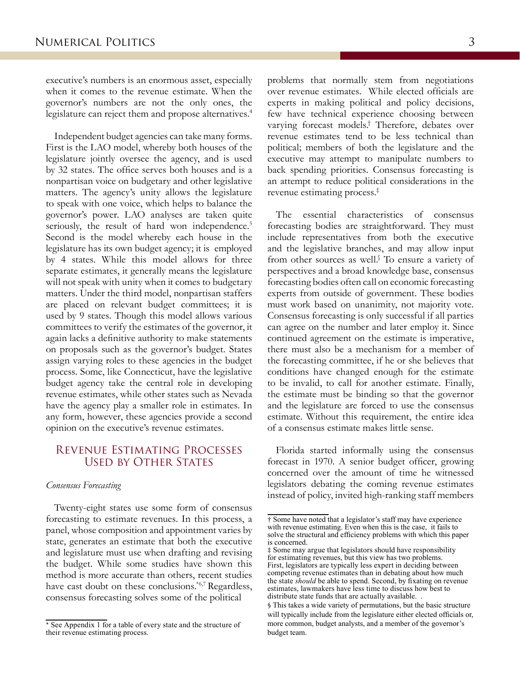executive's numbers is an enormous asset, especially when it comes to the revenue estimate. When the governor's numbers are not the only ones, the legislature can reject them and propose alternatives.<sup>4</sup>

Independent budget agencies can take many forms. First is the LAO model, whereby both houses of the legislature jointly oversee the agency, and is used by 32 states. The office serves both houses and is a nonpartisan voice on budgetary and other legislative matters. The agency's unity allows the legislature to speak with one voice, which helps to balance the governor's power. LAO analyses are taken quite seriously, the result of hard won independence.<sup>5</sup> Second is the model whereby each house in the legislature has its own budget agency; it is employed by 4 states. While this model allows for three separate estimates, it generally means the legislature will not speak with unity when it comes to budgetary matters. Under the third model, nonpartisan staffers are placed on relevant budget committees; it is used by 9 states. Though this model allows various committees to verify the estimates of the governor, it again lacks a definitive authority to make statements on proposals such as the governor's budget. States assign varying roles to these agencies in the budget process. Some, like Connecticut, have the legislative budget agency take the central role in developing revenue estimates, while other states such as Nevada have the agency play a smaller role in estimates. In any form, however, these agencies provide a second opinion on the executive's revenue estimates.

## Revenue Estimating Processes Used by Other States

### *Consensus Forecasting*

Twenty-eight states use some form of consensus forecasting to estimate revenues. In this process, a panel, whose composition and appointment varies by state, generates an estimate that both the executive and legislature must use when drafting and revising the budget. While some studies have shown this method is more accurate than others, recent studies have cast doubt on these conclusions.\*6,7 Regardless, consensus forecasting solves some of the political

problems that normally stem from negotiations over revenue estimates. While elected officials are experts in making political and policy decisions, few have technical experience choosing between varying forecast models.† Therefore, debates over revenue estimates tend to be less technical than political; members of both the legislature and the executive may attempt to manipulate numbers to back spending priorities. Consensus forecasting is an attempt to reduce political considerations in the revenue estimating process.‡

The essential characteristics of consensus forecasting bodies are straightforward. They must include representatives from both the executive and the legislative branches, and may allow input from other sources as well.<sup>§</sup> To ensure a variety of perspectives and a broad knowledge base, consensus forecasting bodies often call on economic forecasting experts from outside of government. These bodies must work based on unanimity, not majority vote. Consensus forecasting is only successful if all parties can agree on the number and later employ it. Since continued agreement on the estimate is imperative, there must also be a mechanism for a member of the forecasting committee, if he or she believes that conditions have changed enough for the estimate to be invalid, to call for another estimate. Finally, the estimate must be binding so that the governor and the legislature are forced to use the consensus estimate. Without this requirement, the entire idea of a consensus estimate makes little sense.

Florida started informally using the consensus forecast in 1970. A senior budget officer, growing concerned over the amount of time he witnessed legislators debating the coming revenue estimates instead of policy, invited high-ranking staff members

<sup>\*</sup> See Appendix 1 for a table of every state and the structure of their revenue estimating process.

<sup>†</sup> Some have noted that a legislator's staff may have experience with revenue estimating. Even when this is the case, it fails to solve the structural and efficiency problems with which this paper is concerned.

<sup>‡</sup> Some may argue that legislators should have responsibility for estimating revenues, but this view has two problems. First, legislators are typically less expert in deciding between competing revenue estimates than in debating about how much the state *should* be able to spend. Second, by fixating on revenue estimates, lawmakers have less time to discuss how best to distribute state funds that are actually available.

<sup>§</sup> This takes a wide variety of permutations, but the basic structure will typically include from the legislature either elected officials or, more common, budget analysts, and a member of the governor's budget team.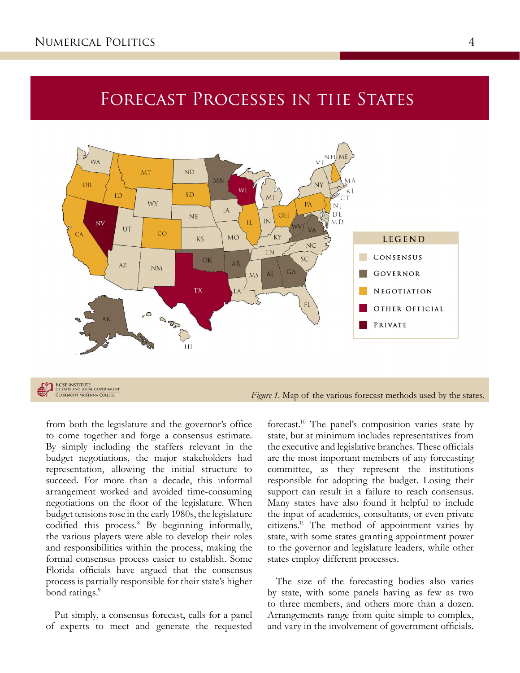# FORECAST PROCESSES IN THE STATES



**CLAREMONT MCKENNA COLLEC** 

*Figure 1.* Map of the various forecast methods used by the states.

from both the legislature and the governor's office to come together and forge a consensus estimate. By simply including the staffers relevant in the budget negotiations, the major stakeholders had representation, allowing the initial structure to succeed. For more than a decade, this informal arrangement worked and avoided time-consuming negotiations on the floor of the legislature. When budget tensions rose in the early 1980s, the legislature codified this process.<sup>8</sup> By beginning informally, the various players were able to develop their roles and responsibilities within the process, making the formal consensus process easier to establish. Some Florida officials have argued that the consensus process is partially responsible for their state's higher bond ratings.<sup>9</sup>

Put simply, a consensus forecast, calls for a panel of experts to meet and generate the requested

forecast.10 The panel's composition varies state by state, but at minimum includes representatives from the executive and legislative branches. These officials are the most important members of any forecasting committee, as they represent the institutions responsible for adopting the budget. Losing their support can result in a failure to reach consensus. Many states have also found it helpful to include the input of academics, consultants, or even private citizens.11 The method of appointment varies by state, with some states granting appointment power to the governor and legislature leaders, while other states employ different processes.

The size of the forecasting bodies also varies by state, with some panels having as few as two to three members, and others more than a dozen. Arrangements range from quite simple to complex, and vary in the involvement of government officials.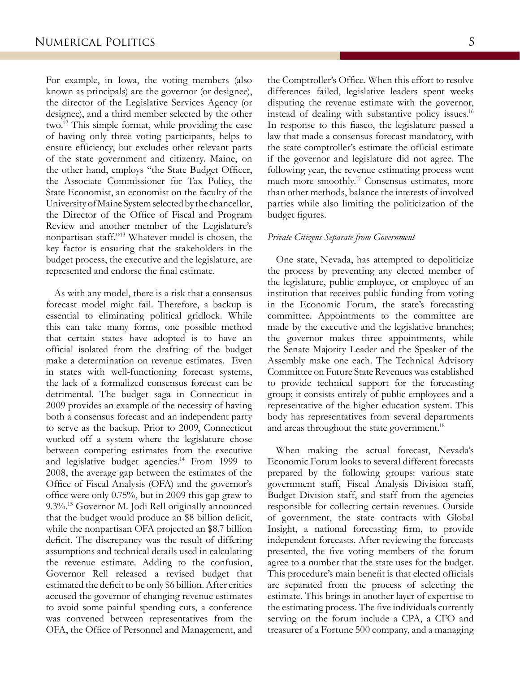For example, in Iowa, the voting members (also known as principals) are the governor (or designee), the director of the Legislative Services Agency (or designee), and a third member selected by the other two.12 This simple format, while providing the ease of having only three voting participants, helps to ensure efficiency, but excludes other relevant parts of the state government and citizenry. Maine, on the other hand, employs "the State Budget Officer, the Associate Commissioner for Tax Policy, the State Economist, an economist on the faculty of the University of Maine System selected by the chancellor, the Director of the Office of Fiscal and Program Review and another member of the Legislature's nonpartisan staff."13 Whatever model is chosen, the key factor is ensuring that the stakeholders in the budget process, the executive and the legislature, are represented and endorse the final estimate.

As with any model, there is a risk that a consensus forecast model might fail. Therefore, a backup is essential to eliminating political gridlock. While this can take many forms, one possible method that certain states have adopted is to have an official isolated from the drafting of the budget make a determination on revenue estimates. Even in states with well-functioning forecast systems, the lack of a formalized consensus forecast can be detrimental. The budget saga in Connecticut in 2009 provides an example of the necessity of having both a consensus forecast and an independent party to serve as the backup. Prior to 2009, Connecticut worked off a system where the legislature chose between competing estimates from the executive and legislative budget agencies.<sup>14</sup> From 1999 to 2008, the average gap between the estimates of the Office of Fiscal Analysis (OFA) and the governor's office were only 0.75%, but in 2009 this gap grew to 9.3%.<sup>15</sup> Governor M. Jodi Rell originally announced that the budget would produce an \$8 billion deficit, while the nonpartisan OFA projected an \$8.7 billion deficit. The discrepancy was the result of differing assumptions and technical details used in calculating the revenue estimate. Adding to the confusion, Governor Rell released a revised budget that estimated the deficit to be only \$6 billion. After critics accused the governor of changing revenue estimates to avoid some painful spending cuts, a conference was convened between representatives from the OFA, the Office of Personnel and Management, and

the Comptroller's Office. When this effort to resolve differences failed, legislative leaders spent weeks disputing the revenue estimate with the governor, instead of dealing with substantive policy issues.<sup>16</sup> In response to this fiasco, the legislature passed a law that made a consensus forecast mandatory, with the state comptroller's estimate the official estimate if the governor and legislature did not agree. The following year, the revenue estimating process went much more smoothly.<sup>17</sup> Consensus estimates, more than other methods, balance the interests of involved parties while also limiting the politicization of the budget figures.

#### *Private Citizens Separate from Government*

One state, Nevada, has attempted to depoliticize the process by preventing any elected member of the legislature, public employee, or employee of an institution that receives public funding from voting in the Economic Forum, the state's forecasting committee. Appointments to the committee are made by the executive and the legislative branches; the governor makes three appointments, while the Senate Majority Leader and the Speaker of the Assembly make one each. The Technical Advisory Committee on Future State Revenues was established to provide technical support for the forecasting group; it consists entirely of public employees and a representative of the higher education system. This body has representatives from several departments and areas throughout the state government.<sup>18</sup>

When making the actual forecast, Nevada's Economic Forum looks to several different forecasts prepared by the following groups: various state government staff, Fiscal Analysis Division staff, Budget Division staff, and staff from the agencies responsible for collecting certain revenues. Outside of government, the state contracts with Global Insight, a national forecasting firm, to provide independent forecasts. After reviewing the forecasts presented, the five voting members of the forum agree to a number that the state uses for the budget. This procedure's main benefit is that elected officials are separated from the process of selecting the estimate. This brings in another layer of expertise to the estimating process. The five individuals currently serving on the forum include a CPA, a CFO and treasurer of a Fortune 500 company, and a managing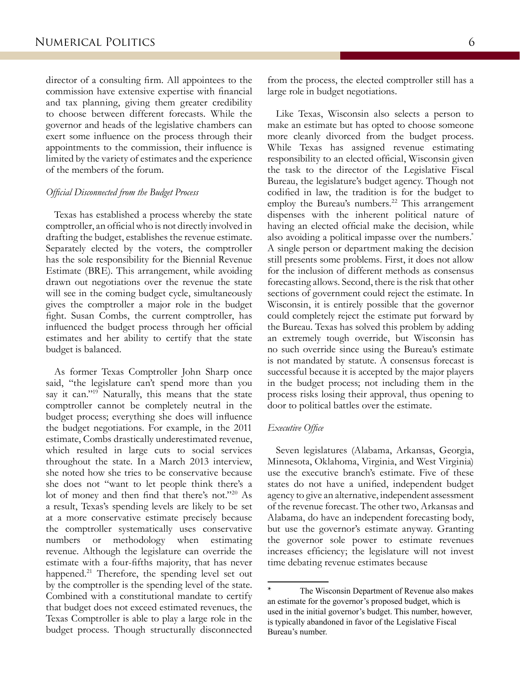director of a consulting firm. All appointees to the commission have extensive expertise with financial and tax planning, giving them greater credibility to choose between different forecasts. While the governor and heads of the legislative chambers can exert some influence on the process through their appointments to the commission, their influence is limited by the variety of estimates and the experience of the members of the forum.

#### *Official Disconnected from the Budget Process*

Texas has established a process whereby the state comptroller, an official who is not directly involved in drafting the budget, establishes the revenue estimate. Separately elected by the voters, the comptroller has the sole responsibility for the Biennial Revenue Estimate (BRE). This arrangement, while avoiding drawn out negotiations over the revenue the state will see in the coming budget cycle, simultaneously gives the comptroller a major role in the budget fight. Susan Combs, the current comptroller, has influenced the budget process through her official estimates and her ability to certify that the state budget is balanced.

As former Texas Comptroller John Sharp once said, "the legislature can't spend more than you say it can."<sup>19</sup> Naturally, this means that the state comptroller cannot be completely neutral in the budget process; everything she does will influence the budget negotiations. For example, in the 2011 estimate, Combs drastically underestimated revenue, which resulted in large cuts to social services throughout the state. In a March 2013 interview, she noted how she tries to be conservative because she does not "want to let people think there's a lot of money and then find that there's not."20 As a result, Texas's spending levels are likely to be set at a more conservative estimate precisely because the comptroller systematically uses conservative numbers or methodology when estimating revenue. Although the legislature can override the estimate with a four-fifths majority, that has never happened.<sup>21</sup> Therefore, the spending level set out by the comptroller is the spending level of the state. Combined with a constitutional mandate to certify that budget does not exceed estimated revenues, the Texas Comptroller is able to play a large role in the budget process. Though structurally disconnected

from the process, the elected comptroller still has a large role in budget negotiations.

Like Texas, Wisconsin also selects a person to make an estimate but has opted to choose someone more cleanly divorced from the budget process. While Texas has assigned revenue estimating responsibility to an elected official, Wisconsin given the task to the director of the Legislative Fiscal Bureau, the legislature's budget agency. Though not codified in law, the tradition is for the budget to employ the Bureau's numbers.<sup>22</sup> This arrangement dispenses with the inherent political nature of having an elected official make the decision, while also avoiding a political impasse over the numbers.\* A single person or department making the decision still presents some problems. First, it does not allow for the inclusion of different methods as consensus forecasting allows. Second, there is the risk that other sections of government could reject the estimate. In Wisconsin, it is entirely possible that the governor could completely reject the estimate put forward by the Bureau. Texas has solved this problem by adding an extremely tough override, but Wisconsin has no such override since using the Bureau's estimate is not mandated by statute. A consensus forecast is successful because it is accepted by the major players in the budget process; not including them in the process risks losing their approval, thus opening to door to political battles over the estimate.

#### *Executive Office*

Seven legislatures (Alabama, Arkansas, Georgia, Minnesota, Oklahoma, Virginia, and West Virginia) use the executive branch's estimate. Five of these states do not have a unified, independent budget agency to give an alternative, independent assessment of the revenue forecast. The other two, Arkansas and Alabama, do have an independent forecasting body, but use the governor's estimate anyway. Granting the governor sole power to estimate revenues increases efficiency; the legislature will not invest time debating revenue estimates because

The Wisconsin Department of Revenue also makes an estimate for the governor's proposed budget, which is used in the initial governor's budget. This number, however, is typically abandoned in favor of the Legislative Fiscal Bureau's number.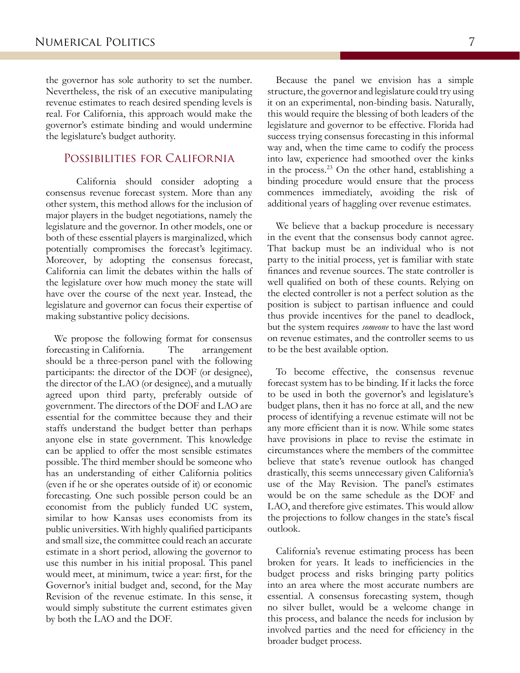the governor has sole authority to set the number. Nevertheless, the risk of an executive manipulating revenue estimates to reach desired spending levels is real. For California, this approach would make the governor's estimate binding and would undermine the legislature's budget authority.

## Possibilities for California

California should consider adopting a consensus revenue forecast system. More than any other system, this method allows for the inclusion of major players in the budget negotiations, namely the legislature and the governor. In other models, one or both of these essential players is marginalized, which potentially compromises the forecast's legitimacy. Moreover, by adopting the consensus forecast, California can limit the debates within the halls of the legislature over how much money the state will have over the course of the next year. Instead, the legislature and governor can focus their expertise of making substantive policy decisions.

We propose the following format for consensus forecasting in California. The arrangement should be a three-person panel with the following participants: the director of the DOF (or designee), the director of the LAO (or designee), and a mutually agreed upon third party, preferably outside of government. The directors of the DOF and LAO are essential for the committee because they and their staffs understand the budget better than perhaps anyone else in state government. This knowledge can be applied to offer the most sensible estimates possible. The third member should be someone who has an understanding of either California politics (even if he or she operates outside of it) or economic forecasting. One such possible person could be an economist from the publicly funded UC system, similar to how Kansas uses economists from its public universities. With highly qualified participants and small size, the committee could reach an accurate estimate in a short period, allowing the governor to use this number in his initial proposal. This panel would meet, at minimum, twice a year: first, for the Governor's initial budget and, second, for the May Revision of the revenue estimate. In this sense, it would simply substitute the current estimates given by both the LAO and the DOF.

Because the panel we envision has a simple structure, the governor and legislature could try using it on an experimental, non-binding basis. Naturally, this would require the blessing of both leaders of the legislature and governor to be effective. Florida had success trying consensus forecasting in this informal way and, when the time came to codify the process into law, experience had smoothed over the kinks in the process.23 On the other hand, establishing a binding procedure would ensure that the process commences immediately, avoiding the risk of additional years of haggling over revenue estimates.

We believe that a backup procedure is necessary in the event that the consensus body cannot agree. That backup must be an individual who is not party to the initial process, yet is familiar with state finances and revenue sources. The state controller is well qualified on both of these counts. Relying on the elected controller is not a perfect solution as the position is subject to partisan influence and could thus provide incentives for the panel to deadlock, but the system requires *someone* to have the last word on revenue estimates, and the controller seems to us to be the best available option.

To become effective, the consensus revenue forecast system has to be binding. If it lacks the force to be used in both the governor's and legislature's budget plans, then it has no force at all, and the new process of identifying a revenue estimate will not be any more efficient than it is now. While some states have provisions in place to revise the estimate in circumstances where the members of the committee believe that state's revenue outlook has changed drastically, this seems unnecessary given California's use of the May Revision. The panel's estimates would be on the same schedule as the DOF and LAO, and therefore give estimates. This would allow the projections to follow changes in the state's fiscal outlook.

California's revenue estimating process has been broken for years. It leads to inefficiencies in the budget process and risks bringing party politics into an area where the most accurate numbers are essential. A consensus forecasting system, though no silver bullet, would be a welcome change in this process, and balance the needs for inclusion by involved parties and the need for efficiency in the broader budget process.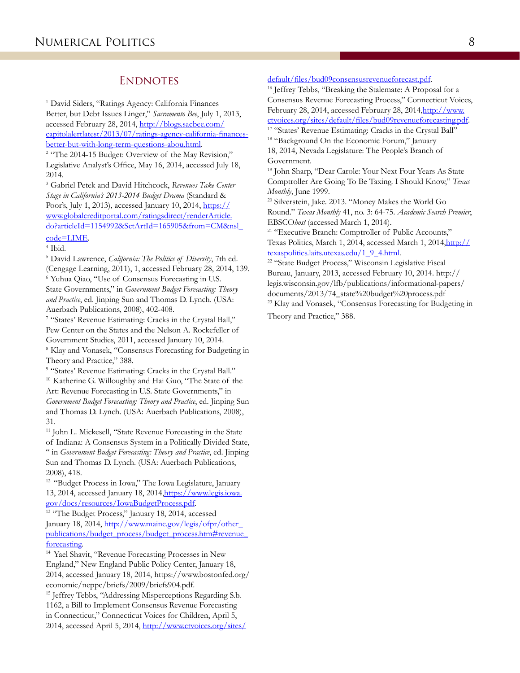## **ENDNOTES**

1 David Siders, "Ratings Agency: California Finances Better, but Debt Issues Linger," *Sacramento Bee*, July 1, 2013, accessed February 28, 2014, [http://blogs.sacbee.com/](http://blogs.sacbee.com/capitolalertlatest/2013/07/ratings-agency-california-finances-better-but-with-long-term-questions-abou.html) [capitolalertlatest/2013/07/ratings-agency-california-finances](http://blogs.sacbee.com/capitolalertlatest/2013/07/ratings-agency-california-finances-better-but-with-long-term-questions-abou.html)[better-but-with-long-term-questions-abou.html.](http://blogs.sacbee.com/capitolalertlatest/2013/07/ratings-agency-california-finances-better-but-with-long-term-questions-abou.html)

<sup>2</sup> "The 2014-15 Budget: Overview of the May Revision," Legislative Analyst's Office, May 16, 2014, accessed July 18, 2014.

3 Gabriel Petek and David Hitchcock, *Revenues Take Center Stage in California's 2013-2014 Budget Drama* (Standard & Poor's, July 1, 2013), accessed January 10, 2014, [https://](https://www.globalcreditportal.com/ratingsdirect/renderArticle.do?articleId=1154992&SctArtId=165905&from=CM&nsl_code=LIME) [www.globalcreditportal.com/ratingsdirect/renderArticle.](https://www.globalcreditportal.com/ratingsdirect/renderArticle.do?articleId=1154992&SctArtId=165905&from=CM&nsl_code=LIME) [do?articleId=1154992&SctArtId=165905&from=CM&nsl\\_](https://www.globalcreditportal.com/ratingsdirect/renderArticle.do?articleId=1154992&SctArtId=165905&from=CM&nsl_code=LIME)

## [code=LIME](https://www.globalcreditportal.com/ratingsdirect/renderArticle.do?articleId=1154992&SctArtId=165905&from=CM&nsl_code=LIME).

4 Ibid.

5 David Lawrence, *California: The Politics of Diversity*, 7th ed. (Cengage Learning, 2011), 1, accessed February 28, 2014, 139.

6 Yuhua Qiao, "Use of Consensus Forecasting in U.S. State Governments," in *Government Budget Forecasting: Theory and Practice*, ed. Jinping Sun and Thomas D. Lynch. (USA: Auerbach Publications, 2008), 402-408.

7 "States' Revenue Estimating: Cracks in the Crystal Ball," Pew Center on the States and the Nelson A. Rockefeller of Government Studies, 2011, accessed January 10, 2014. <sup>8</sup> Klay and Vonasek, "Consensus Forecasting for Budgeting in Theory and Practice," 388.

9 "States' Revenue Estimating: Cracks in the Crystal Ball." 10 Katherine G. Willoughby and Hai Guo, "The State of the Art: Revenue Forecasting in U.S. State Governments," in *Government Budget Forecasting: Theory and Practice*, ed. Jinping Sun and Thomas D. Lynch. (USA: Auerbach Publications, 2008), 31.

<sup>11</sup> John L. Mickesell, "State Revenue Forecasting in the State of Indiana: A Consensus System in a Politically Divided State, " in *Government Budget Forecasting: Theory and Practice*, ed. Jinping Sun and Thomas D. Lynch. (USA: Auerbach Publications, 2008), 418.

12 "Budget Process in Iowa," The Iowa Legislature, January 13, 2014, accessed January 18, 2014[,https://www.legis.iowa.](https://www.legis.iowa.gov/docs/resources/IowaBudgetProcess.pdf) [gov/docs/resources/IowaBudgetProcess.pdf](https://www.legis.iowa.gov/docs/resources/IowaBudgetProcess.pdf).

<sup>13</sup> "The Budget Process," January 18, 2014, accessed January 18, 2014, [http://www.maine.gov/legis/ofpr/other\\_](http://www.maine.gov/legis/ofpr/other_publications/budget_process/budget_process.htm#revenue_forecasting) [publications/budget\\_process/budget\\_process.htm#revenue\\_](http://www.maine.gov/legis/ofpr/other_publications/budget_process/budget_process.htm#revenue_forecasting) [forecasting](http://www.maine.gov/legis/ofpr/other_publications/budget_process/budget_process.htm#revenue_forecasting).

14 Yael Shavit, "Revenue Forecasting Processes in New England," New England Public Policy Center, January 18, 2014, accessed January 18, 2014, https://www.bostonfed.org/ economic/neppc/briefs/2009/briefs904.pdf.

<sup>15</sup> Jeffrey Tebbs, "Addressing Misperceptions Regarding S.b. 1162, a Bill to Implement Consensus Revenue Forecasting in Connecticut," Connecticut Voices for Children, April 5, 2014, accessed April 5, 2014, [http://www.ctvoices.org/sites/](http://www.ctvoices.org/sites/default/files/bud09consensusrevenueforecast.pdf)

# default/files/bud09consensusrevenueforecast.pdf.<br><sup>16</sup> Jeffrey Tebbs, "Breaking the Stalemate: A Proposal for a

Consensus Revenue Forecasting Process," Connecticut Voices, February 28, 2014, accessed February 28, 2014,[http://www.](http://www.ctvoices.org/sites/default/files/bud09revenueforecasting.pdf) [ctvoices.org/sites/default/files/bud09revenueforecasting.pdf](http://www.ctvoices.org/sites/default/files/bud09revenueforecasting.pdf).

17 "States' Revenue Estimating: Cracks in the Crystal Ball" <sup>18</sup> "Background On the Economic Forum," January

18, 2014, Nevada Legislature: The People's Branch of Government.

19 John Sharp, "Dear Carole: Your Next Four Years As State Comptroller Are Going To Be Taxing. I Should Know," *Texas Monthly*, June 1999.

<sup>20</sup> Silverstein, Jake. 2013. "Money Makes the World Go Round." *Texas Monthly* 41, no. 3: 64-75. *Academic Search Premier*, EBSCO*host* (accessed March 1, 2014).

<sup>21</sup> "Executive Branch: Comptroller of Public Accounts," Texas Politics, March 1, 2014, accessed March 1, 2014,[http://](http://texaspolitics.laits.utexas.edu/1_9_4.html) [texaspolitics.laits.utexas.edu/1\\_9\\_4.html](http://texaspolitics.laits.utexas.edu/1_9_4.html).

22 "State Budget Process," Wisconsin Legislative Fiscal Bureau, January, 2013, accessed February 10, 2014. http:// legis.wisconsin.gov/lfb/publications/informational-papers/ documents/2013/74\_state%20budget%20process.pdf <sup>23</sup> Klay and Vonasek, "Consensus Forecasting for Budgeting in Theory and Practice," 388.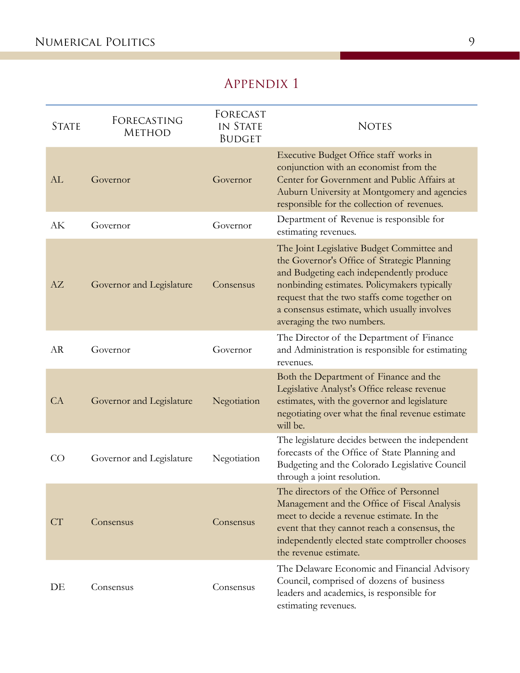# Appendix 1

| <b>STATE</b> | FORECASTING<br><b>METHOD</b> | FORECAST<br>IN STATE<br><b>BUDGET</b> | <b>NOTES</b>                                                                                                                                                                                                                                                                                                        |
|--------------|------------------------------|---------------------------------------|---------------------------------------------------------------------------------------------------------------------------------------------------------------------------------------------------------------------------------------------------------------------------------------------------------------------|
| AL           | Governor                     | Governor                              | Executive Budget Office staff works in<br>conjunction with an economist from the<br>Center for Government and Public Affairs at<br>Auburn University at Montgomery and agencies<br>responsible for the collection of revenues.                                                                                      |
| АK           | Governor                     | Governor                              | Department of Revenue is responsible for<br>estimating revenues.                                                                                                                                                                                                                                                    |
| AZ           | Governor and Legislature     | Consensus                             | The Joint Legislative Budget Committee and<br>the Governor's Office of Strategic Planning<br>and Budgeting each independently produce<br>nonbinding estimates. Policymakers typically<br>request that the two staffs come together on<br>a consensus estimate, which usually involves<br>averaging the two numbers. |
| <b>AR</b>    | Governor                     | Governor                              | The Director of the Department of Finance<br>and Administration is responsible for estimating<br>revenues.                                                                                                                                                                                                          |
| CA           | Governor and Legislature     | Negotiation                           | Both the Department of Finance and the<br>Legislative Analyst's Office release revenue<br>estimates, with the governor and legislature<br>negotiating over what the final revenue estimate<br>will be.                                                                                                              |
| CO           | Governor and Legislature     | Negotiation                           | The legislature decides between the independent<br>forecasts of the Office of State Planning and<br>Budgeting and the Colorado Legislative Council<br>through a joint resolution.                                                                                                                                   |
| CT           | Consensus                    | Consensus                             | The directors of the Office of Personnel<br>Management and the Office of Fiscal Analysis<br>meet to decide a revenue estimate. In the<br>event that they cannot reach a consensus, the<br>independently elected state comptroller chooses<br>the revenue estimate.                                                  |
| DE           | Consensus                    | Consensus                             | The Delaware Economic and Financial Advisory<br>Council, comprised of dozens of business<br>leaders and academics, is responsible for<br>estimating revenues.                                                                                                                                                       |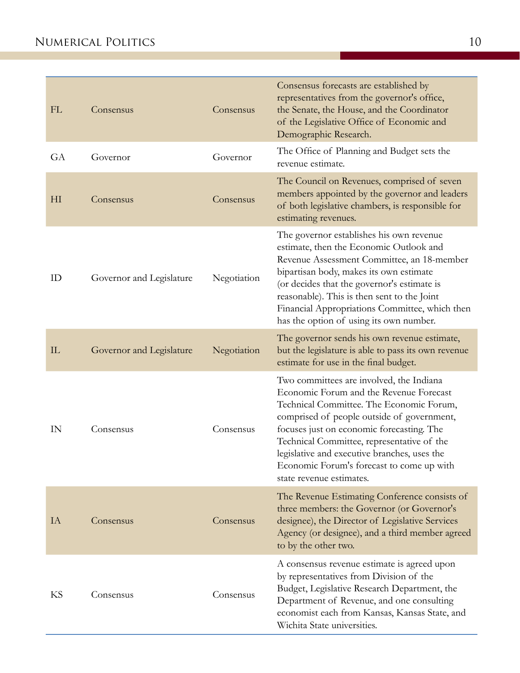| FL             | Consensus                | Consensus   | Consensus forecasts are established by<br>representatives from the governor's office,<br>the Senate, the House, and the Coordinator<br>of the Legislative Office of Economic and<br>Demographic Research.                                                                                                                                                                                         |
|----------------|--------------------------|-------------|---------------------------------------------------------------------------------------------------------------------------------------------------------------------------------------------------------------------------------------------------------------------------------------------------------------------------------------------------------------------------------------------------|
| GA             | Governor                 | Governor    | The Office of Planning and Budget sets the<br>revenue estimate.                                                                                                                                                                                                                                                                                                                                   |
| H <sub>I</sub> | Consensus                | Consensus   | The Council on Revenues, comprised of seven<br>members appointed by the governor and leaders<br>of both legislative chambers, is responsible for<br>estimating revenues.                                                                                                                                                                                                                          |
| ID             | Governor and Legislature | Negotiation | The governor establishes his own revenue<br>estimate, then the Economic Outlook and<br>Revenue Assessment Committee, an 18-member<br>bipartisan body, makes its own estimate<br>(or decides that the governor's estimate is<br>reasonable). This is then sent to the Joint<br>Financial Appropriations Committee, which then<br>has the option of using its own number.                           |
| IL             | Governor and Legislature | Negotiation | The governor sends his own revenue estimate,<br>but the legislature is able to pass its own revenue<br>estimate for use in the final budget.                                                                                                                                                                                                                                                      |
| IN             | Consensus                | Consensus   | Two committees are involved, the Indiana<br>Economic Forum and the Revenue Forecast<br>Technical Committee. The Economic Forum,<br>comprised of people outside of government,<br>focuses just on economic forecasting. The<br>Technical Committee, representative of the<br>legislative and executive branches, uses the<br>Economic Forum's forecast to come up with<br>state revenue estimates. |
| IA             | Consensus                | Consensus   | The Revenue Estimating Conference consists of<br>three members: the Governor (or Governor's<br>designee), the Director of Legislative Services<br>Agency (or designee), and a third member agreed<br>to by the other two.                                                                                                                                                                         |
| KS             | Consensus                | Consensus   | A consensus revenue estimate is agreed upon<br>by representatives from Division of the<br>Budget, Legislative Research Department, the<br>Department of Revenue, and one consulting<br>economist each from Kansas, Kansas State, and<br>Wichita State universities.                                                                                                                               |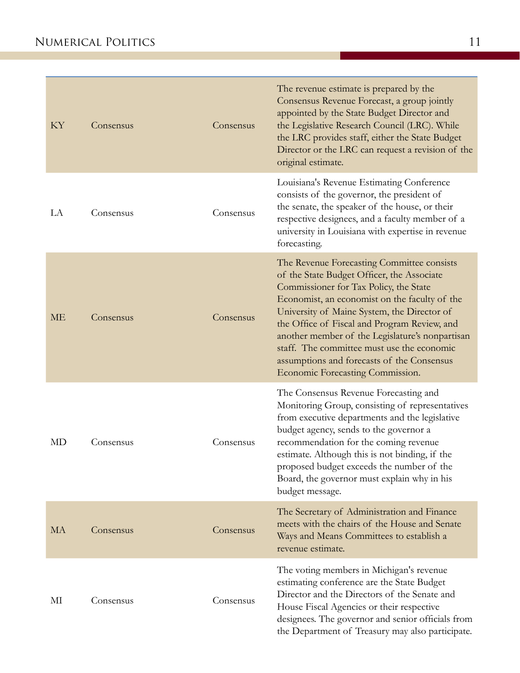| KY        | Consensus | Consensus | The revenue estimate is prepared by the<br>Consensus Revenue Forecast, a group jointly<br>appointed by the State Budget Director and<br>the Legislative Research Council (LRC). While<br>the LRC provides staff, either the State Budget<br>Director or the LRC can request a revision of the<br>original estimate.                                                                                                                                                   |
|-----------|-----------|-----------|-----------------------------------------------------------------------------------------------------------------------------------------------------------------------------------------------------------------------------------------------------------------------------------------------------------------------------------------------------------------------------------------------------------------------------------------------------------------------|
| LA        | Consensus | Consensus | Louisiana's Revenue Estimating Conference<br>consists of the governor, the president of<br>the senate, the speaker of the house, or their<br>respective designees, and a faculty member of a<br>university in Louisiana with expertise in revenue<br>forecasting.                                                                                                                                                                                                     |
| МE        | Consensus | Consensus | The Revenue Forecasting Committee consists<br>of the State Budget Officer, the Associate<br>Commissioner for Tax Policy, the State<br>Economist, an economist on the faculty of the<br>University of Maine System, the Director of<br>the Office of Fiscal and Program Review, and<br>another member of the Legislature's nonpartisan<br>staff. The committee must use the economic<br>assumptions and forecasts of the Consensus<br>Economic Forecasting Commission. |
| MD        | Consensus | Consensus | The Consensus Revenue Forecasting and<br>Monitoring Group, consisting of representatives<br>from executive departments and the legislative<br>budget agency, sends to the governor a<br>recommendation for the coming revenue<br>estimate. Although this is not binding, if the<br>proposed budget exceeds the number of the<br>Board, the governor must explain why in his<br>budget message.                                                                        |
| <b>MA</b> | Consensus | Consensus | The Secretary of Administration and Finance<br>meets with the chairs of the House and Senate<br>Ways and Means Committees to establish a<br>revenue estimate.                                                                                                                                                                                                                                                                                                         |
| МІ        | Consensus | Consensus | The voting members in Michigan's revenue<br>estimating conference are the State Budget<br>Director and the Directors of the Senate and<br>House Fiscal Agencies or their respective<br>designees. The governor and senior officials from<br>the Department of Treasury may also participate.                                                                                                                                                                          |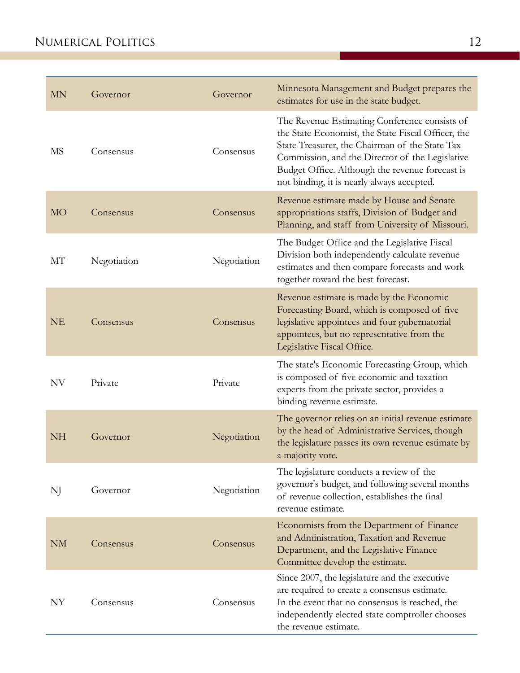| MN        | Governor    | Governor    | Minnesota Management and Budget prepares the<br>estimates for use in the state budget.                                                                                                                                                                                                                    |
|-----------|-------------|-------------|-----------------------------------------------------------------------------------------------------------------------------------------------------------------------------------------------------------------------------------------------------------------------------------------------------------|
| MS        | Consensus   | Consensus   | The Revenue Estimating Conference consists of<br>the State Economist, the State Fiscal Officer, the<br>State Treasurer, the Chairman of the State Tax<br>Commission, and the Director of the Legislative<br>Budget Office. Although the revenue forecast is<br>not binding, it is nearly always accepted. |
| <b>MO</b> | Consensus   | Consensus   | Revenue estimate made by House and Senate<br>appropriations staffs, Division of Budget and<br>Planning, and staff from University of Missouri.                                                                                                                                                            |
| МT        | Negotiation | Negotiation | The Budget Office and the Legislative Fiscal<br>Division both independently calculate revenue<br>estimates and then compare forecasts and work<br>together toward the best forecast.                                                                                                                      |
| <b>NE</b> | Consensus   | Consensus   | Revenue estimate is made by the Economic<br>Forecasting Board, which is composed of five<br>legislative appointees and four gubernatorial<br>appointees, but no representative from the<br>Legislative Fiscal Office.                                                                                     |
| NV        | Private     | Private     | The state's Economic Forecasting Group, which<br>is composed of five economic and taxation<br>experts from the private sector, provides a<br>binding revenue estimate.                                                                                                                                    |
| <b>NH</b> | Governor    | Negotiation | The governor relies on an initial revenue estimate<br>by the head of Administrative Services, though<br>the legislature passes its own revenue estimate by<br>a majority vote.                                                                                                                            |
| NJ        | Governor    | Negotiation | The legislature conducts a review of the<br>governor's budget, and following several months<br>of revenue collection, establishes the final<br>revenue estimate.                                                                                                                                          |
| <b>NM</b> | Consensus   | Consensus   | Economists from the Department of Finance<br>and Administration, Taxation and Revenue<br>Department, and the Legislative Finance<br>Committee develop the estimate.                                                                                                                                       |
| NY        | Consensus   | Consensus   | Since 2007, the legislature and the executive<br>are required to create a consensus estimate.<br>In the event that no consensus is reached, the<br>independently elected state comptroller chooses<br>the revenue estimate.                                                                               |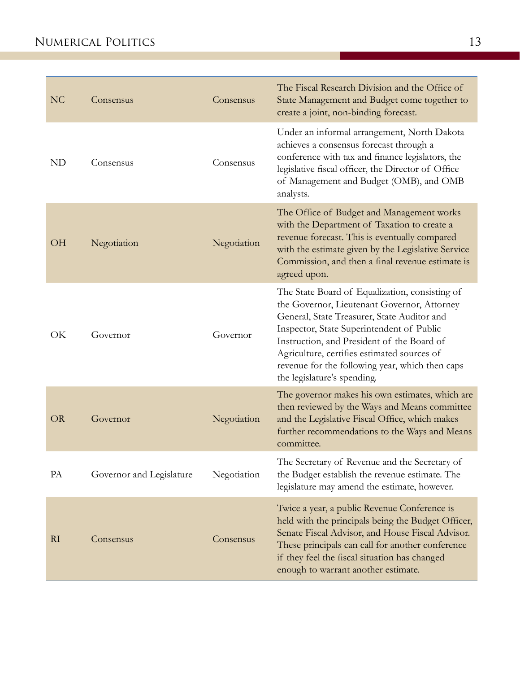| N <sub>C</sub> | Consensus                | Consensus   | The Fiscal Research Division and the Office of<br>State Management and Budget come together to<br>create a joint, non-binding forecast.                                                                                                                                                                                                                                  |
|----------------|--------------------------|-------------|--------------------------------------------------------------------------------------------------------------------------------------------------------------------------------------------------------------------------------------------------------------------------------------------------------------------------------------------------------------------------|
| <b>ND</b>      | Consensus                | Consensus   | Under an informal arrangement, North Dakota<br>achieves a consensus forecast through a<br>conference with tax and finance legislators, the<br>legislative fiscal officer, the Director of Office<br>of Management and Budget (OMB), and OMB<br>analysts.                                                                                                                 |
| <b>OH</b>      | Negotiation              | Negotiation | The Office of Budget and Management works<br>with the Department of Taxation to create a<br>revenue forecast. This is eventually compared<br>with the estimate given by the Legislative Service<br>Commission, and then a final revenue estimate is<br>agreed upon.                                                                                                      |
| OK             | Governor                 | Governor    | The State Board of Equalization, consisting of<br>the Governor, Lieutenant Governor, Attorney<br>General, State Treasurer, State Auditor and<br>Inspector, State Superintendent of Public<br>Instruction, and President of the Board of<br>Agriculture, certifies estimated sources of<br>revenue for the following year, which then caps<br>the legislature's spending. |
| <b>OR</b>      | Governor                 | Negotiation | The governor makes his own estimates, which are<br>then reviewed by the Ways and Means committee<br>and the Legislative Fiscal Office, which makes<br>further recommendations to the Ways and Means<br>committee.                                                                                                                                                        |
| PA             | Governor and Legislature | Negotiation | The Secretary of Revenue and the Secretary of<br>the Budget establish the revenue estimate. The<br>legislature may amend the estimate, however.                                                                                                                                                                                                                          |
| RI             | Consensus                | Consensus   | Twice a year, a public Revenue Conference is<br>held with the principals being the Budget Officer,<br>Senate Fiscal Advisor, and House Fiscal Advisor.<br>These principals can call for another conference<br>if they feel the fiscal situation has changed<br>enough to warrant another estimate.                                                                       |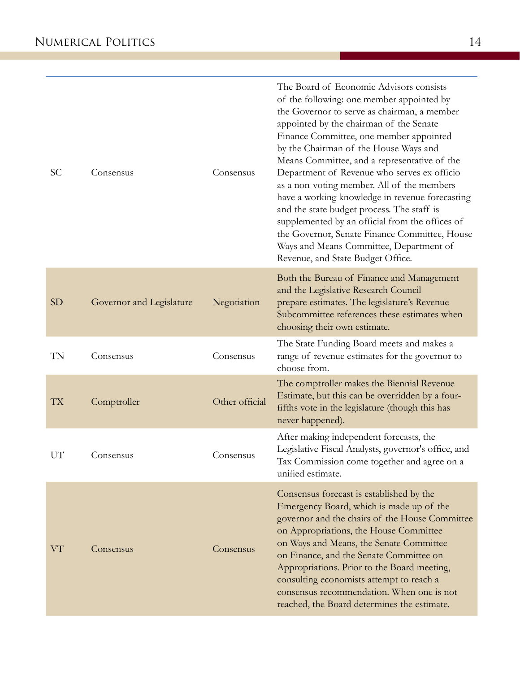| <b>SC</b> | Consensus                | Consensus      | The Board of Economic Advisors consists<br>of the following: one member appointed by<br>the Governor to serve as chairman, a member<br>appointed by the chairman of the Senate<br>Finance Committee, one member appointed<br>by the Chairman of the House Ways and<br>Means Committee, and a representative of the<br>Department of Revenue who serves ex officio<br>as a non-voting member. All of the members<br>have a working knowledge in revenue forecasting<br>and the state budget process. The staff is<br>supplemented by an official from the offices of<br>the Governor, Senate Finance Committee, House<br>Ways and Means Committee, Department of<br>Revenue, and State Budget Office. |
|-----------|--------------------------|----------------|------------------------------------------------------------------------------------------------------------------------------------------------------------------------------------------------------------------------------------------------------------------------------------------------------------------------------------------------------------------------------------------------------------------------------------------------------------------------------------------------------------------------------------------------------------------------------------------------------------------------------------------------------------------------------------------------------|
| <b>SD</b> | Governor and Legislature | Negotiation    | Both the Bureau of Finance and Management<br>and the Legislative Research Council<br>prepare estimates. The legislature's Revenue<br>Subcommittee references these estimates when<br>choosing their own estimate.                                                                                                                                                                                                                                                                                                                                                                                                                                                                                    |
| TN        | Consensus                | Consensus      | The State Funding Board meets and makes a<br>range of revenue estimates for the governor to<br>choose from.                                                                                                                                                                                                                                                                                                                                                                                                                                                                                                                                                                                          |
| TX        | Comptroller              | Other official | The comptroller makes the Biennial Revenue<br>Estimate, but this can be overridden by a four-<br>fifths vote in the legislature (though this has<br>never happened).                                                                                                                                                                                                                                                                                                                                                                                                                                                                                                                                 |
| UT        | Consensus                | Consensus      | After making independent forecasts, the<br>Legislative Fiscal Analysts, governor's office, and<br>Tax Commission come together and agree on a<br>unified estimate.                                                                                                                                                                                                                                                                                                                                                                                                                                                                                                                                   |
| VT        | Consensus                | Consensus      | Consensus forecast is established by the<br>Emergency Board, which is made up of the<br>governor and the chairs of the House Committee<br>on Appropriations, the House Committee<br>on Ways and Means, the Senate Committee<br>on Finance, and the Senate Committee on<br>Appropriations. Prior to the Board meeting,<br>consulting economists attempt to reach a<br>consensus recommendation. When one is not<br>reached, the Board determines the estimate.                                                                                                                                                                                                                                        |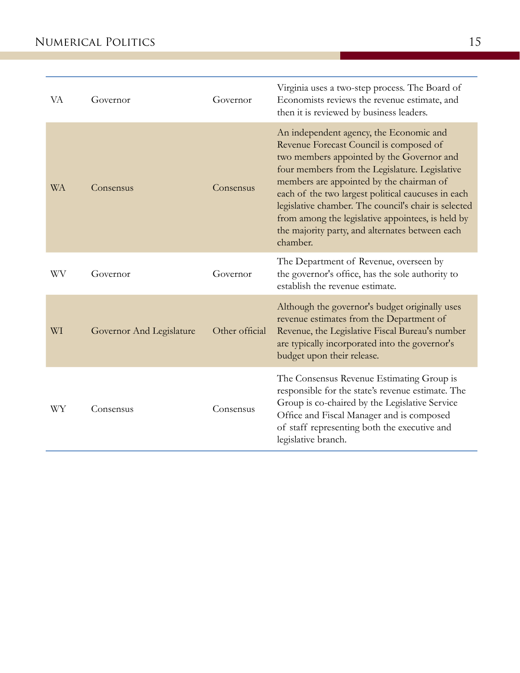| VA        | Governor                 | Governor       | Virginia uses a two-step process. The Board of<br>Economists reviews the revenue estimate, and<br>then it is reviewed by business leaders.                                                                                                                                                                                                                                                                                                                      |
|-----------|--------------------------|----------------|-----------------------------------------------------------------------------------------------------------------------------------------------------------------------------------------------------------------------------------------------------------------------------------------------------------------------------------------------------------------------------------------------------------------------------------------------------------------|
| <b>WA</b> | Consensus                | Consensus      | An independent agency, the Economic and<br>Revenue Forecast Council is composed of<br>two members appointed by the Governor and<br>four members from the Legislature. Legislative<br>members are appointed by the chairman of<br>each of the two largest political caucuses in each<br>legislative chamber. The council's chair is selected<br>from among the legislative appointees, is held by<br>the majority party, and alternates between each<br>chamber. |
| WV        | Governor                 | Governor       | The Department of Revenue, overseen by<br>the governor's office, has the sole authority to<br>establish the revenue estimate.                                                                                                                                                                                                                                                                                                                                   |
| WI        | Governor And Legislature | Other official | Although the governor's budget originally uses<br>revenue estimates from the Department of<br>Revenue, the Legislative Fiscal Bureau's number<br>are typically incorporated into the governor's<br>budget upon their release.                                                                                                                                                                                                                                   |
| WY        | Consensus                | Consensus      | The Consensus Revenue Estimating Group is<br>responsible for the state's revenue estimate. The<br>Group is co-chaired by the Legislative Service<br>Office and Fiscal Manager and is composed<br>of staff representing both the executive and<br>legislative branch.                                                                                                                                                                                            |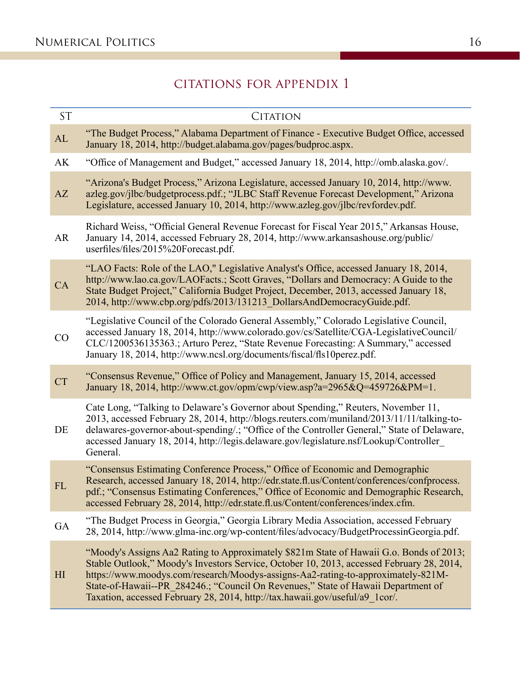## citations for appendix 1

| <b>ST</b>      | <b>CITATION</b>                                                                                                                                                                                                                                                                                                                                                                                                                               |
|----------------|-----------------------------------------------------------------------------------------------------------------------------------------------------------------------------------------------------------------------------------------------------------------------------------------------------------------------------------------------------------------------------------------------------------------------------------------------|
| AL             | "The Budget Process," Alabama Department of Finance - Executive Budget Office, accessed<br>January 18, 2014, http://budget.alabama.gov/pages/budproc.aspx.                                                                                                                                                                                                                                                                                    |
| AK             | "Office of Management and Budget," accessed January 18, 2014, http://omb.alaska.gov/.                                                                                                                                                                                                                                                                                                                                                         |
| AZ             | "Arizona's Budget Process," Arizona Legislature, accessed January 10, 2014, http://www.<br>azleg.gov/jlbc/budgetprocess.pdf.; "JLBC Staff Revenue Forecast Development," Arizona<br>Legislature, accessed January 10, 2014, http://www.azleg.gov/jlbc/revfordev.pdf.                                                                                                                                                                          |
| AR             | Richard Weiss, "Official General Revenue Forecast for Fiscal Year 2015," Arkansas House,<br>January 14, 2014, accessed February 28, 2014, http://www.arkansashouse.org/public/<br>userfiles/files/2015%20Forecast.pdf.                                                                                                                                                                                                                        |
| CA             | "LAO Facts: Role of the LAO," Legislative Analyst's Office, accessed January 18, 2014,<br>http://www.lao.ca.gov/LAOFacts.; Scott Graves, "Dollars and Democracy: A Guide to the<br>State Budget Project," California Budget Project, December, 2013, accessed January 18,<br>2014, http://www.cbp.org/pdfs/2013/131213_DollarsAndDemocracyGuide.pdf.                                                                                          |
| CO             | "Legislative Council of the Colorado General Assembly," Colorado Legislative Council,<br>accessed January 18, 2014, http://www.colorado.gov/cs/Satellite/CGA-LegislativeCouncil/<br>CLC/1200536135363.; Arturo Perez, "State Revenue Forecasting: A Summary," accessed<br>January 18, 2014, http://www.ncsl.org/documents/fiscal/fls10perez.pdf.                                                                                              |
| <b>CT</b>      | "Consensus Revenue," Office of Policy and Management, January 15, 2014, accessed<br>January 18, 2014, http://www.ct.gov/opm/cwp/view.asp?a=2965&Q=459726&PM=1.                                                                                                                                                                                                                                                                                |
| DE             | Cate Long, "Talking to Delaware's Governor about Spending," Reuters, November 11,<br>2013, accessed February 28, 2014, http://blogs.reuters.com/muniland/2013/11/11/talking-to-<br>delawares-governor-about-spending/.; "Office of the Controller General," State of Delaware,<br>accessed January 18, 2014, http://legis.delaware.gov/legislature.nsf/Lookup/Controller<br>General.                                                          |
| FL             | "Consensus Estimating Conference Process," Office of Economic and Demographic<br>Research, accessed January 18, 2014, http://edr.state.fl.us/Content/conferences/confprocess.<br>pdf.; "Consensus Estimating Conferences," Office of Economic and Demographic Research,<br>accessed February 28, 2014, http://edr.state.fl.us/Content/conferences/index.cfm.                                                                                  |
| GA             | "The Budget Process in Georgia," Georgia Library Media Association, accessed February<br>28, 2014, http://www.glma-inc.org/wp-content/files/advocacy/BudgetProcessinGeorgia.pdf.                                                                                                                                                                                                                                                              |
| H <sub>I</sub> | "Moody's Assigns Aa2 Rating to Approximately \$821m State of Hawaii G.o. Bonds of 2013;<br>Stable Outlook," Moody's Investors Service, October 10, 2013, accessed February 28, 2014,<br>https://www.moodys.com/research/Moodys-assigns-Aa2-rating-to-approximately-821M-<br>State-of-Hawaii--PR 284246.; "Council On Revenues," State of Hawaii Department of<br>Taxation, accessed February 28, 2014, http://tax.hawaii.gov/useful/a9 1cor/. |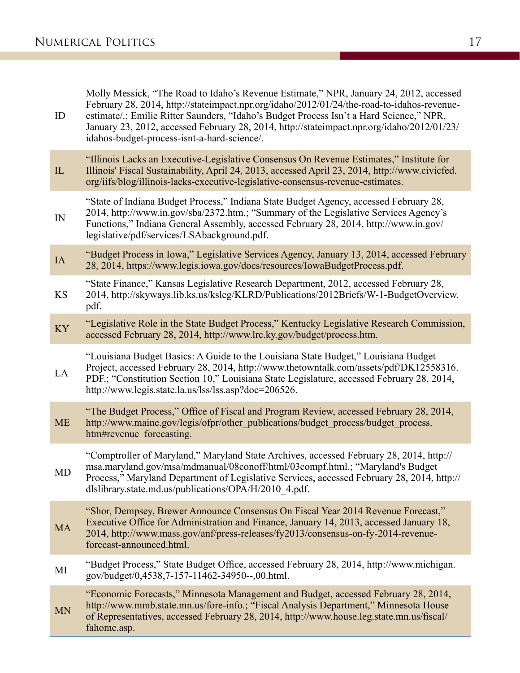| ID        | Molly Messick, "The Road to Idaho's Revenue Estimate," NPR, January 24, 2012, accessed<br>February 28, 2014, http://stateimpact.npr.org/idaho/2012/01/24/the-road-to-idahos-revenue-<br>estimate/.; Emilie Ritter Saunders, "Idaho's Budget Process Isn't a Hard Science," NPR,<br>January 23, 2012, accessed February 28, 2014, http://stateimpact.npr.org/idaho/2012/01/23/<br>idahos-budget-process-isnt-a-hard-science/. |
|-----------|------------------------------------------------------------------------------------------------------------------------------------------------------------------------------------------------------------------------------------------------------------------------------------------------------------------------------------------------------------------------------------------------------------------------------|
| IL        | "Illinois Lacks an Executive-Legislative Consensus On Revenue Estimates," Institute for<br>Illinois' Fiscal Sustainability, April 24, 2013, accessed April 23, 2014, http://www.civicfed.<br>org/iifs/blog/illinois-lacks-executive-legislative-consensus-revenue-estimates.                                                                                                                                                 |
| IN        | "State of Indiana Budget Process," Indiana State Budget Agency, accessed February 28,<br>2014, http://www.in.gov/sba/2372.htm.; "Summary of the Legislative Services Agency's<br>Functions," Indiana General Assembly, accessed February 28, 2014, http://www.in.gov/<br>legislative/pdf/services/LSAbackground.pdf.                                                                                                         |
| IA        | "Budget Process in Iowa," Legislative Services Agency, January 13, 2014, accessed February<br>28, 2014, https://www.legis.iowa.gov/docs/resources/IowaBudgetProcess.pdf.                                                                                                                                                                                                                                                     |
| KS        | "State Finance," Kansas Legislative Research Department, 2012, accessed February 28,<br>2014, http://skyways.lib.ks.us/ksleg/KLRD/Publications/2012Briefs/W-1-BudgetOverview.<br>pdf.                                                                                                                                                                                                                                        |
| <b>KY</b> | "Legislative Role in the State Budget Process," Kentucky Legislative Research Commission,<br>accessed February 28, 2014, http://www.lrc.ky.gov/budget/process.htm.                                                                                                                                                                                                                                                           |
| LA        | "Louisiana Budget Basics: A Guide to the Louisiana State Budget," Louisiana Budget<br>Project, accessed February 28, 2014, http://www.thetowntalk.com/assets/pdf/DK12558316.<br>PDF.; "Constitution Section 10," Louisiana State Legislature, accessed February 28, 2014,<br>http://www.legis.state.la.us/lss/lss.asp?doc=206526.                                                                                            |
| <b>ME</b> | "The Budget Process," Office of Fiscal and Program Review, accessed February 28, 2014,<br>http://www.maine.gov/legis/ofpr/other_publications/budget_process/budget_process.<br>htm#revenue forecasting.                                                                                                                                                                                                                      |
| MD        | "Comptroller of Maryland," Maryland State Archives, accessed February 28, 2014, http://<br>msa.maryland.gov/msa/mdmanual/08conoff/html/03compf.html.; "Maryland's Budget<br>Process," Maryland Department of Legislative Services, accessed February 28, 2014, http://<br>dlslibrary.state.md.us/publications/OPA/H/2010 4.pdf.                                                                                              |
| <b>MA</b> | "Shor, Dempsey, Brewer Announce Consensus On Fiscal Year 2014 Revenue Forecast,"<br>Executive Office for Administration and Finance, January 14, 2013, accessed January 18,<br>2014, http://www.mass.gov/anf/press-releases/fy2013/consensus-on-fy-2014-revenue-<br>forecast-announced.html.                                                                                                                                 |
| МI        | "Budget Process," State Budget Office, accessed February 28, 2014, http://www.michigan.<br>gov/budget/0,4538,7-157-11462-34950--,00.html.                                                                                                                                                                                                                                                                                    |
| <b>MN</b> | "Economic Forecasts," Minnesota Management and Budget, accessed February 28, 2014,<br>http://www.mmb.state.mn.us/fore-info.; "Fiscal Analysis Department," Minnesota House<br>of Representatives, accessed February 28, 2014, http://www.house.leg.state.mn.us/fiscal/<br>fahome.asp.                                                                                                                                        |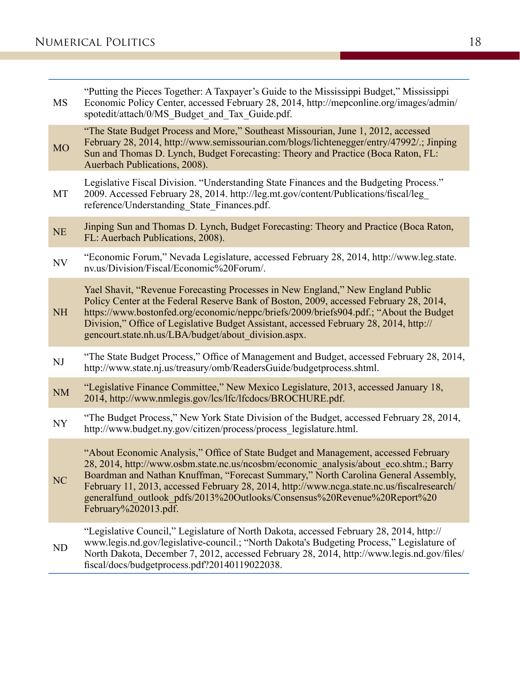| <b>MS</b> | "Putting the Pieces Together: A Taxpayer's Guide to the Mississippi Budget," Mississippi<br>Economic Policy Center, accessed February 28, 2014, http://mepconline.org/images/admin/<br>spotedit/attach/0/MS Budget and Tax Guide.pdf.                                                                                                                                                                                                                                |
|-----------|----------------------------------------------------------------------------------------------------------------------------------------------------------------------------------------------------------------------------------------------------------------------------------------------------------------------------------------------------------------------------------------------------------------------------------------------------------------------|
| <b>MO</b> | "The State Budget Process and More," Southeast Missourian, June 1, 2012, accessed<br>February 28, 2014, http://www.semissourian.com/blogs/lichtenegger/entry/47992/.; Jinping<br>Sun and Thomas D. Lynch, Budget Forecasting: Theory and Practice (Boca Raton, FL:<br>Auerbach Publications, 2008).                                                                                                                                                                  |
| MT        | Legislative Fiscal Division. "Understanding State Finances and the Budgeting Process."<br>2009. Accessed February 28, 2014. http://leg.mt.gov/content/Publications/fiscal/leg<br>reference/Understanding State Finances.pdf.                                                                                                                                                                                                                                         |
| <b>NE</b> | Jinping Sun and Thomas D. Lynch, Budget Forecasting: Theory and Practice (Boca Raton,<br>FL: Auerbach Publications, 2008).                                                                                                                                                                                                                                                                                                                                           |
| <b>NV</b> | "Economic Forum," Nevada Legislature, accessed February 28, 2014, http://www.leg.state.<br>nv.us/Division/Fiscal/Economic%20Forum/.                                                                                                                                                                                                                                                                                                                                  |
| <b>NH</b> | Yael Shavit, "Revenue Forecasting Processes in New England," New England Public<br>Policy Center at the Federal Reserve Bank of Boston, 2009, accessed February 28, 2014,<br>https://www.bostonfed.org/economic/neppc/briefs/2009/briefs904.pdf.; "About the Budget<br>Division," Office of Legislative Budget Assistant, accessed February 28, 2014, http://<br>gencourt.state.nh.us/LBA/budget/about division.aspx.                                                |
| NJ        | "The State Budget Process," Office of Management and Budget, accessed February 28, 2014,<br>http://www.state.nj.us/treasury/omb/ReadersGuide/budgetprocess.shtml.                                                                                                                                                                                                                                                                                                    |
| <b>NM</b> | "Legislative Finance Committee," New Mexico Legislature, 2013, accessed January 18,<br>2014, http://www.nmlegis.gov/lcs/lfc/lfcdocs/BROCHURE.pdf.                                                                                                                                                                                                                                                                                                                    |
| NY        | "The Budget Process," New York State Division of the Budget, accessed February 28, 2014,<br>http://www.budget.ny.gov/citizen/process/process legislature.html.                                                                                                                                                                                                                                                                                                       |
| NC        | "About Economic Analysis," Office of State Budget and Management, accessed February<br>28, 2014, http://www.osbm.state.nc.us/ncosbm/economic analysis/about eco.shtm.; Barry<br>Boardman and Nathan Knuffman, "Forecast Summary," North Carolina General Assembly,<br>February 11, 2013, accessed February 28, 2014, http://www.ncga.state.nc.us/fiscalresearch/<br>generalfund outlook pdfs/2013%20Outlooks/Consensus%20Revenue%20Report%20<br>February%202013.pdf. |
| ND        | "Legislative Council," Legislature of North Dakota, accessed February 28, 2014, http://<br>www.legis.nd.gov/legislative-council.; "North Dakota's Budgeting Process," Legislature of<br>North Dakota, December 7, 2012, accessed February 28, 2014, http://www.legis.nd.gov/files/<br>fiscal/docs/budgetprocess.pdf?20140119022038.                                                                                                                                  |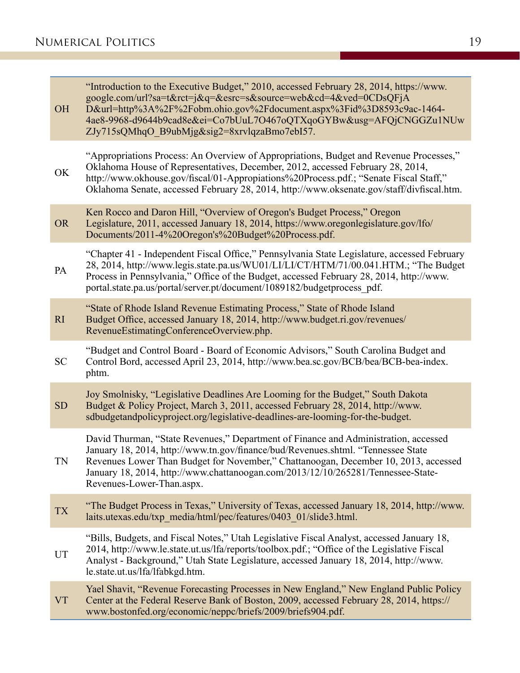Ξ

| <b>OH</b> | "Introduction to the Executive Budget," 2010, accessed February 28, 2014, https://www.<br>google.com/url?sa=t&rct=j&q=&esrc=s&source=web&cd=4&ved=0CDsQFjA<br>D&url=http%3A%2F%2Fobm.ohio.gov%2Fdocument.aspx%3Fid%3D8593c9ac-1464-<br>4ae8-9968-d9644b9cad8e&ei=Co7bUuL7O467oQTXqoGYBw&usg=AFQjCNGGZu1NUw<br>ZJy715sQMhqO B9ubMjg&sig2=8xrvlqzaBmo7ebI57.                      |
|-----------|---------------------------------------------------------------------------------------------------------------------------------------------------------------------------------------------------------------------------------------------------------------------------------------------------------------------------------------------------------------------------------|
| OK        | "Appropriations Process: An Overview of Appropriations, Budget and Revenue Processes,"<br>Oklahoma House of Representatives, December, 2012, accessed February 28, 2014,<br>http://www.okhouse.gov/fiscal/01-Appropiations%20Process.pdf.; "Senate Fiscal Staff,"<br>Oklahoma Senate, accessed February 28, 2014, http://www.oksenate.gov/staff/divfiscal.htm.                  |
| <b>OR</b> | Ken Rocco and Daron Hill, "Overview of Oregon's Budget Process," Oregon<br>Legislature, 2011, accessed January 18, 2014, https://www.oregonlegislature.gov/lfo/<br>Documents/2011-4%20Oregon's%20Budget%20Process.pdf.                                                                                                                                                          |
| PA        | "Chapter 41 - Independent Fiscal Office," Pennsylvania State Legislature, accessed February<br>28, 2014, http://www.legis.state.pa.us/WU01/LI/LI/CT/HTM/71/00.041.HTM.; "The Budget<br>Process in Pennsylvania," Office of the Budget, accessed February 28, 2014, http://www.<br>portal.state.pa.us/portal/server.pt/document/1089182/budgetprocess_pdf.                       |
| RI        | "State of Rhode Island Revenue Estimating Process," State of Rhode Island<br>Budget Office, accessed January 18, 2014, http://www.budget.ri.gov/revenues/<br>RevenueEstimatingConferenceOverview.php.                                                                                                                                                                           |
| <b>SC</b> | "Budget and Control Board - Board of Economic Advisors," South Carolina Budget and<br>Control Bord, accessed April 23, 2014, http://www.bea.sc.gov/BCB/bea/BCB-bea-index.<br>phtm.                                                                                                                                                                                              |
| <b>SD</b> | Joy Smolnisky, "Legislative Deadlines Are Looming for the Budget," South Dakota<br>Budget & Policy Project, March 3, 2011, accessed February 28, 2014, http://www.<br>sdbudgetandpolicyproject.org/legislative-deadlines-are-looming-for-the-budget.                                                                                                                            |
| TN        | David Thurman, "State Revenues," Department of Finance and Administration, accessed<br>January 18, 2014, http://www.tn.gov/finance/bud/Revenues.shtml. "Tennessee State<br>Revenues Lower Than Budget for November," Chattanoogan, December 10, 2013, accessed<br>January 18, 2014, http://www.chattanoogan.com/2013/12/10/265281/Tennessee-State-<br>Revenues-Lower-Than.aspx. |
| <b>TX</b> | "The Budget Process in Texas," University of Texas, accessed January 18, 2014, http://www.<br>laits.utexas.edu/txp media/html/pec/features/0403 01/slide3.html.                                                                                                                                                                                                                 |
| UT        | "Bills, Budgets, and Fiscal Notes," Utah Legislative Fiscal Analyst, accessed January 18,<br>2014, http://www.le.state.ut.us/lfa/reports/toolbox.pdf.; "Office of the Legislative Fiscal<br>Analyst - Background," Utah State Legislature, accessed January 18, 2014, http://www.<br>le.state.ut.us/lfa/lfabkgd.htm.                                                            |
| <b>VT</b> | Yael Shavit, "Revenue Forecasting Processes in New England," New England Public Policy<br>Center at the Federal Reserve Bank of Boston, 2009, accessed February 28, 2014, https://<br>www.bostonfed.org/economic/neppc/briefs/2009/briefs904.pdf.                                                                                                                               |

۳